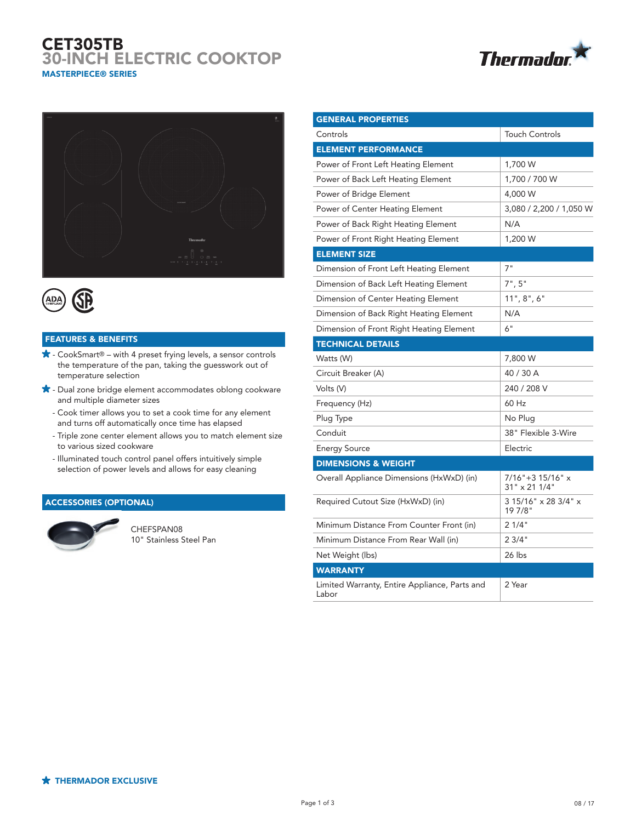# CET305TB 30-INCH ELECTRIC COOKTOP MASTERPIECE® SERIES







## FEATURES & BENEFITS

- $\bigstar$  CookSmart® with 4 preset frying levels, a sensor controls the temperature of the pan, taking the guesswork out of temperature selection
- $\bigstar$  Dual zone bridge element accommodates oblong cookware and multiple diameter sizes
	- Cook timer allows you to set a cook time for any element and turns off automatically once time has elapsed
	- Triple zone center element allows you to match element size to various sized cookware
	- Illuminated touch control panel offers intuitively simple selection of power levels and allows for easy cleaning

### ACCESSORIES (OPTIONAL)



CHEFSPAN08 10" Stainless Steel Pan

| <b>GENERAL PROPERTIES</b>                              |                                      |
|--------------------------------------------------------|--------------------------------------|
| Controls                                               | <b>Touch Controls</b>                |
| <b>ELEMENT PERFORMANCE</b>                             |                                      |
| Power of Front Left Heating Element                    | 1,700 W                              |
| Power of Back Left Heating Element                     | 1,700 / 700 W                        |
| Power of Bridge Element                                | 4,000 W                              |
| Power of Center Heating Element                        | 3,080 / 2,200 / 1,050 W              |
| Power of Back Right Heating Element                    | N/A                                  |
| Power of Front Right Heating Element                   | 1,200 W                              |
| <b>ELEMENT SIZE</b>                                    |                                      |
| Dimension of Front Left Heating Element                | 7"                                   |
| Dimension of Back Left Heating Element                 | 7", 5"                               |
| Dimension of Center Heating Element                    | 11", 8", 6"                          |
| Dimension of Back Right Heating Element                | N/A                                  |
| Dimension of Front Right Heating Element               | 6"                                   |
| <b>TECHNICAL DETAILS</b>                               |                                      |
| Watts (W)                                              | 7,800 W                              |
| Circuit Breaker (A)                                    | 40 / 30 A                            |
| Volts (V)                                              | 240 / 208 V                          |
| Frequency (Hz)                                         | 60 Hz                                |
| Plug Type                                              | No Plug                              |
| Conduit                                                | 38" Flexible 3-Wire                  |
| <b>Energy Source</b>                                   | Electric                             |
| <b>DIMENSIONS &amp; WEIGHT</b>                         |                                      |
| Overall Appliance Dimensions (HxWxD) (in)              | $7/16" + 315/16"$ x<br>31" x 21 1/4" |
| Required Cutout Size (HxWxD) (in)                      | 3 15/16" x 28 3/4" x<br>19 7/8"      |
| Minimum Distance From Counter Front (in)               | 21/4"                                |
| Minimum Distance From Rear Wall (in)                   | 23/4"                                |
| Net Weight (lbs)                                       | 26 lbs                               |
| <b>WARRANTY</b>                                        |                                      |
| Limited Warranty, Entire Appliance, Parts and<br>Labor | 2 Year                               |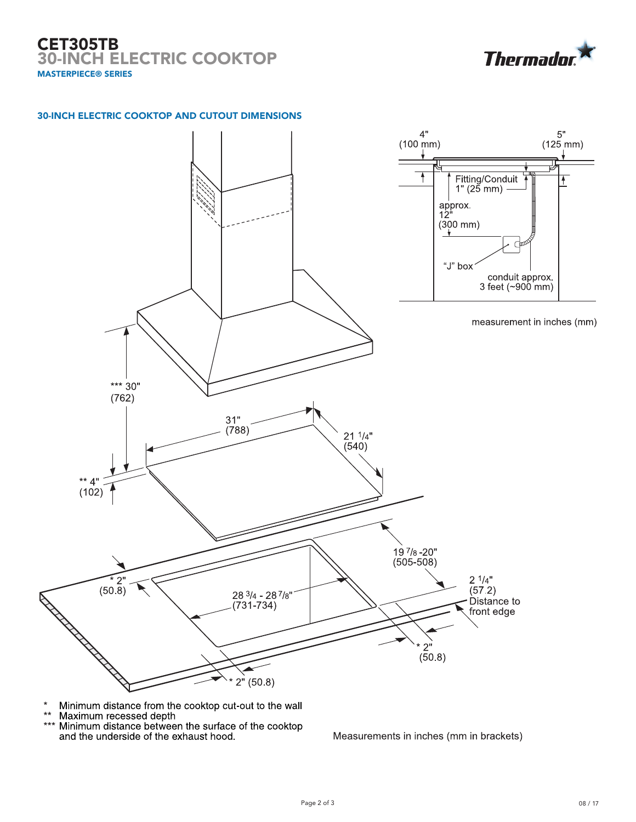# CET305TB 30-INCH ELECTRIC COOKTOP MASTERPIECE® SERIES



### 30-INCH ELECTRIC COOKTOP AND CUTOUT DIMENSIONS



- Minimum distance from the cooktop cut-out to the wall  $\star$
- $\star\star$
- Maximum recessed depth<br>Maximum recessed depth<br>Minimum distance between the surface of the cooktop  $***$ and the underside of the exhaust hood.

Measurements in inches (mm in brackets)